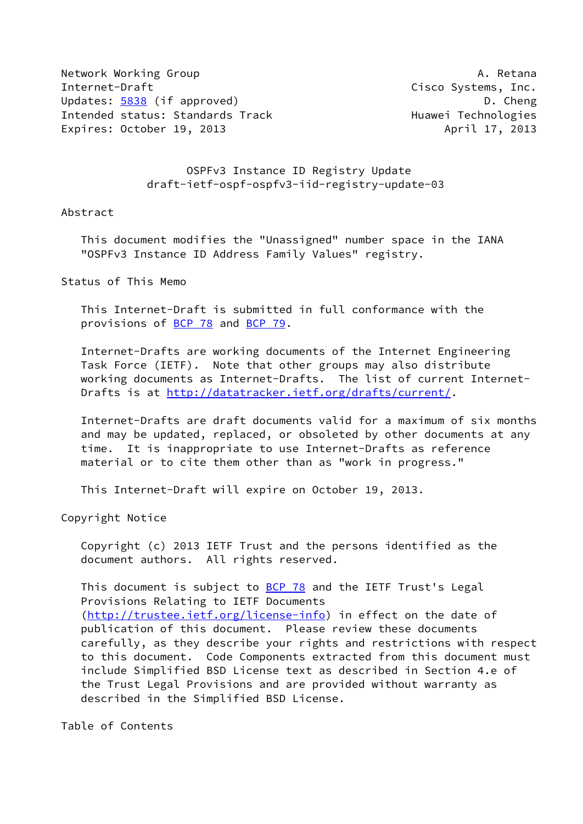Network Working Group **A. Retana** Internet-Draft Cisco Systems, Inc. Updates: [5838](https://datatracker.ietf.org/doc/pdf/rfc5838) (if approved) D. Cheng Intended status: Standards Track Track Huawei Technologies Expires: October 19, 2013 April 17, 2013

## OSPFv3 Instance ID Registry Update draft-ietf-ospf-ospfv3-iid-registry-update-03

## Abstract

 This document modifies the "Unassigned" number space in the IANA "OSPFv3 Instance ID Address Family Values" registry.

Status of This Memo

 This Internet-Draft is submitted in full conformance with the provisions of [BCP 78](https://datatracker.ietf.org/doc/pdf/bcp78) and [BCP 79](https://datatracker.ietf.org/doc/pdf/bcp79).

 Internet-Drafts are working documents of the Internet Engineering Task Force (IETF). Note that other groups may also distribute working documents as Internet-Drafts. The list of current Internet Drafts is at<http://datatracker.ietf.org/drafts/current/>.

 Internet-Drafts are draft documents valid for a maximum of six months and may be updated, replaced, or obsoleted by other documents at any time. It is inappropriate to use Internet-Drafts as reference material or to cite them other than as "work in progress."

This Internet-Draft will expire on October 19, 2013.

Copyright Notice

 Copyright (c) 2013 IETF Trust and the persons identified as the document authors. All rights reserved.

This document is subject to **[BCP 78](https://datatracker.ietf.org/doc/pdf/bcp78)** and the IETF Trust's Legal Provisions Relating to IETF Documents [\(http://trustee.ietf.org/license-info](http://trustee.ietf.org/license-info)) in effect on the date of publication of this document. Please review these documents carefully, as they describe your rights and restrictions with respect to this document. Code Components extracted from this document must include Simplified BSD License text as described in Section 4.e of the Trust Legal Provisions and are provided without warranty as described in the Simplified BSD License.

Table of Contents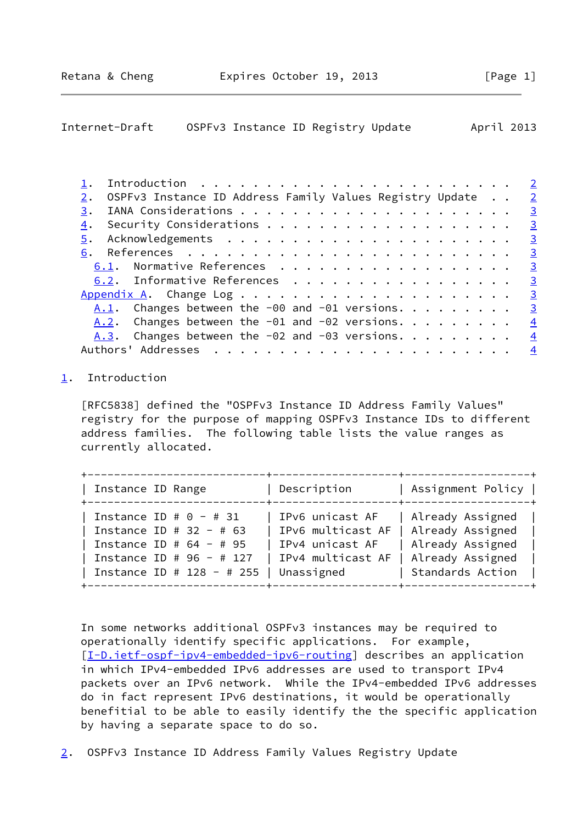<span id="page-1-1"></span>

| Internet-Draft | OSPFv3 Instance ID Registry Update |  |  |  | April 2013 |  |
|----------------|------------------------------------|--|--|--|------------|--|
|----------------|------------------------------------|--|--|--|------------|--|

|                                                              | $\overline{2}$ |
|--------------------------------------------------------------|----------------|
| OSPFv3 Instance ID Address Family Values Registry Update     | $\overline{2}$ |
| 3.                                                           | $\overline{3}$ |
| 4.                                                           |                |
|                                                              |                |
|                                                              |                |
| 6.1. Normative References 3                                  |                |
| 6.2. Informative References 3                                |                |
|                                                              |                |
| <u>A.1</u> . Changes between the -00 and -01 versions. 3     |                |
| A.2. Changes between the -01 and -02 versions. $\frac{4}{3}$ |                |
| A.3. Changes between the -02 and -03 versions. $\ldots$      | $\frac{4}{1}$  |
| Authors' Addresses                                           | $\frac{4}{3}$  |
|                                                              |                |

## <span id="page-1-0"></span>[1](#page-1-0). Introduction

 [RFC5838] defined the "OSPFv3 Instance ID Address Family Values" registry for the purpose of mapping OSPFv3 Instance IDs to different address families. The following table lists the value ranges as currently allocated.

| Instance ID Range           | Description       | Assignment Policy |
|-----------------------------|-------------------|-------------------|
| Instance ID # $0 - # 31$    | IPv6 unicast AF   | Already Assigned  |
| Instance ID # 32 - # 63     | IPv6 multicast AF | Already Assigned  |
| Instance ID # $64 - # 95$   | IPv4 unicast AF   | Already Assigned  |
| Instance ID # $96 - # 127$  | IPv4 multicast AF | Already Assigned  |
| Instance ID # $128 - # 255$ | Unassigned        | Standards Action  |

 In some networks additional OSPFv3 instances may be required to operationally identify specific applications. For example, [\[I-D.ietf-ospf-ipv4-embedded-ipv6-routing](#page-2-7)] describes an application in which IPv4-embedded IPv6 addresses are used to transport IPv4 packets over an IPv6 network. While the IPv4-embedded IPv6 addresses do in fact represent IPv6 destinations, it would be operationally benefitial to be able to easily identify the the specific application by having a separate space to do so.

<span id="page-1-2"></span>[2](#page-1-2). OSPFv3 Instance ID Address Family Values Registry Update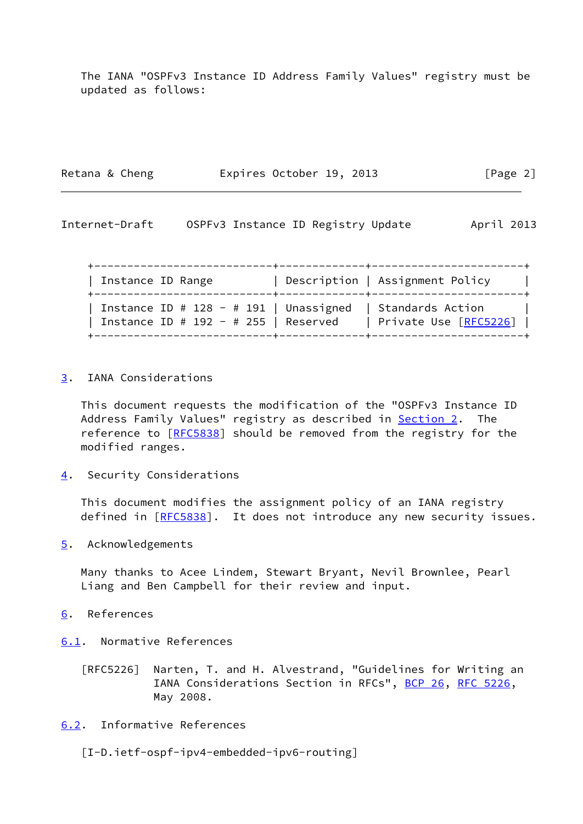The IANA "OSPFv3 Instance ID Address Family Values" registry must be updated as follows:

Retana & Cheng **Expires October 19, 2013** [Page 2]

<span id="page-2-1"></span>Internet-Draft OSPFv3 Instance ID Registry Update April 2013

 +---------------------------+-------------+-----------------------+ | Instance ID Range | Description | Assignment Policy | +---------------------------+-------------+-----------------------+ | Instance ID # 128 - # 191 | Unassigned | Standards Action | | Instance ID # 192 - # 255 | Reserved | Private Use [\[RFC5226](https://datatracker.ietf.org/doc/pdf/rfc5226)] | +---------------------------+-------------+-----------------------+

<span id="page-2-0"></span>[3](#page-2-0). IANA Considerations

 This document requests the modification of the "OSPFv3 Instance ID Address Family Values" registry as described in **Section 2.** The reference to [\[RFC5838](https://datatracker.ietf.org/doc/pdf/rfc5838)] should be removed from the registry for the modified ranges.

<span id="page-2-2"></span>[4](#page-2-2). Security Considerations

 This document modifies the assignment policy of an IANA registry defined in [[RFC5838\]](https://datatracker.ietf.org/doc/pdf/rfc5838). It does not introduce any new security issues.

<span id="page-2-3"></span>[5](#page-2-3). Acknowledgements

 Many thanks to Acee Lindem, Stewart Bryant, Nevil Brownlee, Pearl Liang and Ben Campbell for their review and input.

- <span id="page-2-4"></span>[6](#page-2-4). References
- <span id="page-2-5"></span>[6.1](#page-2-5). Normative References
	- [RFC5226] Narten, T. and H. Alvestrand, "Guidelines for Writing an IANA Considerations Section in RFCs", [BCP 26](https://datatracker.ietf.org/doc/pdf/bcp26), [RFC 5226](https://datatracker.ietf.org/doc/pdf/rfc5226), May 2008.
- <span id="page-2-6"></span>[6.2](#page-2-6). Informative References

<span id="page-2-7"></span>[I-D.ietf-ospf-ipv4-embedded-ipv6-routing]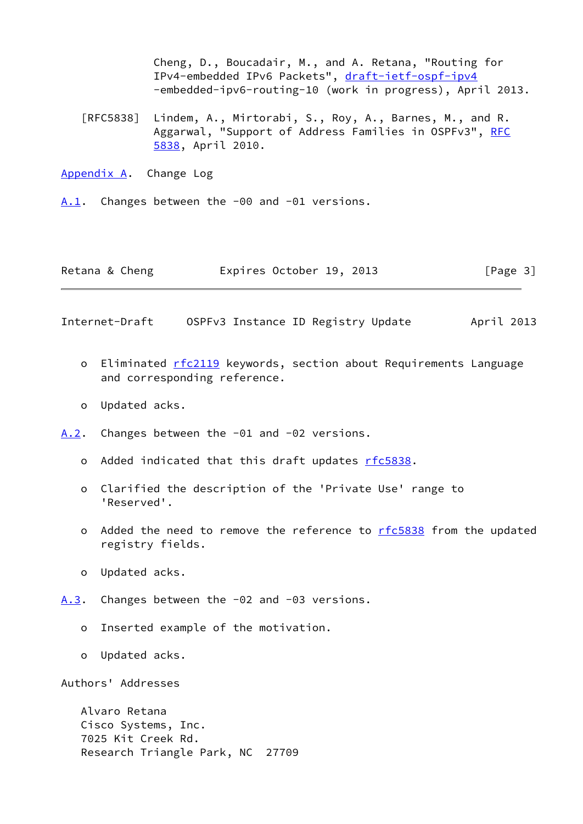Cheng, D., Boucadair, M., and A. Retana, "Routing for IPv4-embedded IPv6 Packets", [draft-ietf-ospf-ipv4](https://datatracker.ietf.org/doc/pdf/draft-ietf-ospf-ipv4) -embedded-ipv6-routing-10 (work in progress), April 2013.

 [RFC5838] Lindem, A., Mirtorabi, S., Roy, A., Barnes, M., and R. Aggarwal, "Support of Address Families in OSPFv3", [RFC](https://datatracker.ietf.org/doc/pdf/rfc5838) [5838,](https://datatracker.ietf.org/doc/pdf/rfc5838) April 2010.

<span id="page-3-0"></span>[Appendix A.](#page-3-0) Change Log

<span id="page-3-1"></span>[A.1](#page-3-1). Changes between the -00 and -01 versions.

| Retana & Cheng | Expires October 19, 2013 |  | [Page 3] |
|----------------|--------------------------|--|----------|
|----------------|--------------------------|--|----------|

<span id="page-3-3"></span>Internet-Draft OSPFv3 Instance ID Registry Update April 2013

- o Eliminated [rfc2119](https://datatracker.ietf.org/doc/pdf/rfc2119) keywords, section about Requirements Language and corresponding reference.
- o Updated acks.
- <span id="page-3-2"></span>[A.2](#page-3-2). Changes between the -01 and -02 versions.
	- o Added indicated that this draft updates [rfc5838](https://datatracker.ietf.org/doc/pdf/rfc5838).
	- o Clarified the description of the 'Private Use' range to 'Reserved'.
	- o Added the need to remove the reference to [rfc5838](https://datatracker.ietf.org/doc/pdf/rfc5838) from the updated registry fields.
	- o Updated acks.
- <span id="page-3-4"></span>[A.3](#page-3-4). Changes between the -02 and -03 versions.
	- o Inserted example of the motivation.
	- o Updated acks.

Authors' Addresses

 Alvaro Retana Cisco Systems, Inc. 7025 Kit Creek Rd. Research Triangle Park, NC 27709